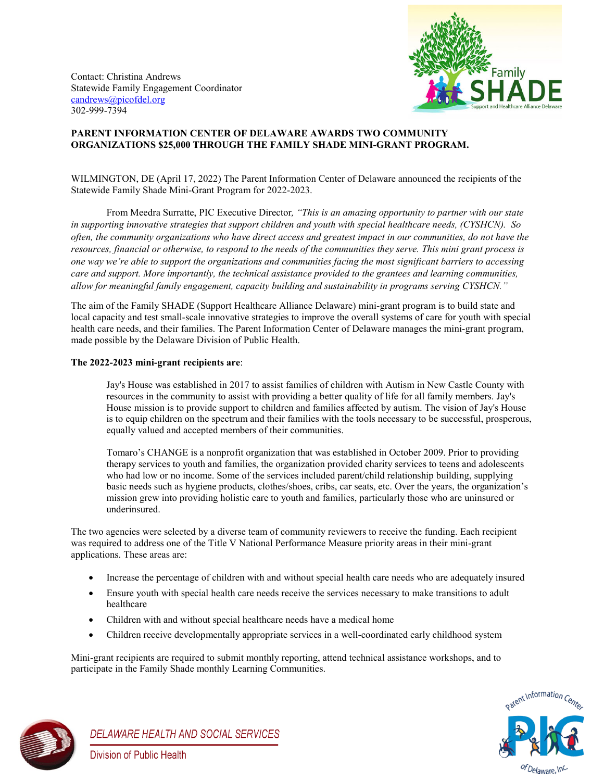Contact: Christina Andrews Statewide Family Engagement Coordinator [candrews@picofdel.org](mailto:candrews@picofdel.org) 302-999-7394



## **PARENT INFORMATION CENTER OF DELAWARE AWARDS TWO COMMUNITY ORGANIZATIONS \$25,000 THROUGH THE FAMILY SHADE MINI-GRANT PROGRAM.**

WILMINGTON, DE (April 17, 2022) The Parent Information Center of Delaware announced the recipients of the Statewide Family Shade Mini-Grant Program for 2022-2023.

From Meedra Surratte, PIC Executive Director*, "This is an amazing opportunity to partner with our state in supporting innovative strategies that support children and youth with special healthcare needs, (CYSHCN). So often, the community organizations who have direct access and greatest impact in our communities, do not have the resources, financial or otherwise, to respond to the needs of the communities they serve. This mini grant process is one way we're able to support the organizations and communities facing the most significant barriers to accessing care and support. More importantly, the technical assistance provided to the grantees and learning communities, allow for meaningful family engagement, capacity building and sustainability in programs serving CYSHCN."*

The aim of the Family SHADE (Support Healthcare Alliance Delaware) mini-grant program is to build state and local capacity and test small-scale innovative strategies to improve the overall systems of care for youth with special health care needs, and their families. The Parent Information Center of Delaware manages the mini-grant program, made possible by the Delaware Division of Public Health.

## **The 2022-2023 mini-grant recipients are**:

Jay's House was established in 2017 to assist families of children with Autism in New Castle County with resources in the community to assist with providing a better quality of life for all family members. Jay's House mission is to provide support to children and families affected by autism. The vision of Jay's House is to equip children on the spectrum and their families with the tools necessary to be successful, prosperous, equally valued and accepted members of their communities.

Tomaro's CHANGE is a nonprofit organization that was established in October 2009. Prior to providing therapy services to youth and families, the organization provided charity services to teens and adolescents who had low or no income. Some of the services included parent/child relationship building, supplying basic needs such as hygiene products, clothes/shoes, cribs, car seats, etc. Over the years, the organization's mission grew into providing holistic care to youth and families, particularly those who are uninsured or underinsured.

The two agencies were selected by a diverse team of community reviewers to receive the funding. Each recipient was required to address one of the Title V National Performance Measure priority areas in their mini-grant applications. These areas are:

- Increase the percentage of children with and without special health care needs who are adequately insured
- Ensure youth with special health care needs receive the services necessary to make transitions to adult healthcare
- Children with and without special healthcare needs have a medical home
- Children receive developmentally appropriate services in a well-coordinated early childhood system

Mini-grant recipients are required to submit monthly reporting, attend technical assistance workshops, and to participate in the Family Shade monthly Learning Communities.





DELAWARE HEALTH AND SOCIAL SERVICES **Division of Public Health**